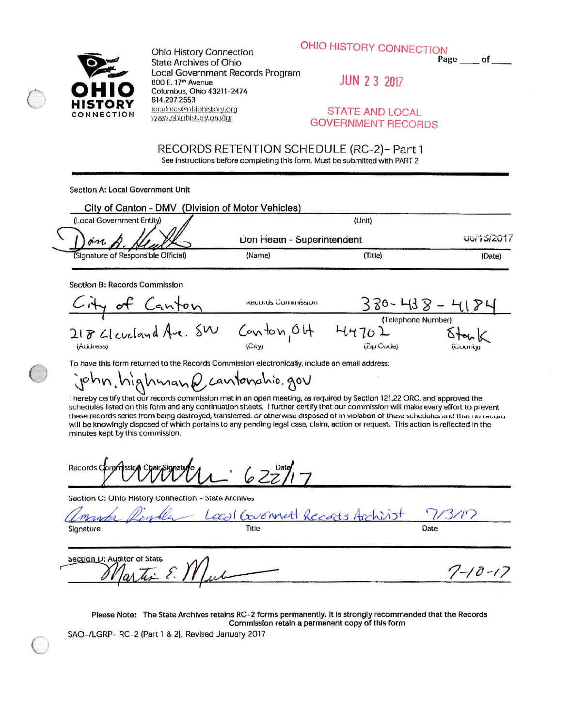



Ohlo History Connection **State Archives of Ohio** Local Government Records Program 800 E. 17th Avenue Columbus, Ohio 43211-2474 614.297.2553 tocalrecs@ohjohistory.org yvwy.ohlohistory.org/lgr

**JUN 2 3 2017** 

## **STATE AND LOCAL GOVERNMENT RECORDS**

 $7 - 10 - 17$ 

RECORDS RETENTION SCHEDULE (RC-2)- Part 1 See instructions before completing this form. Must be submitted with PART 2

Section A: Local Government Unit

| City of Canton - DMV (Division of Motor Vehicles) |                            |         |                  |
|---------------------------------------------------|----------------------------|---------|------------------|
| (Local Government Entity)                         |                            |         |                  |
| ) an A Heath                                      | Don Heath - Superintendent |         | <b>utilities</b> |
| (Signature of Responsible Official)               | (Name)                     | (Title) | (Date)           |

Section B: Records Commission

City of Canton 330-438-41 **RECORD's COMMISSION** (Telephone Number)  $218$  Gleveland Ave.  $5w$  $Conv_1$ 04  $4470L$ (Address) (City) (Zip Codej

To have this form returned to the Records Commission electronically, include an email address:

john. highman Q cantonahio. gov

I hereby certify that our records commission met in an open meeting, as required by Section 121,22 ORC, and approved the schedules listed on this form and any continuation sheets. I further certify that our commission will make every effort to prevent these records series from being destroyed, transferred, or otherwise disposed of in violation of these schedules and that no record will be knowingly disposed of which pertains to any pending legal case, claim, action or request. This action is reflected in the minutes kept by this commission.

Records Cor

Section C: Ohio History Connection - State Archives

Local Covenant Records A Signature Title Date

Section U: Auditor of State

Please Note: The State Archives retains RC-2 forms permanently. It is strongly recommended that the Records Commission retain a permanent copy of this form

SAO-/LGRP- RC-2 (Part 1 & 2), Revised January 2017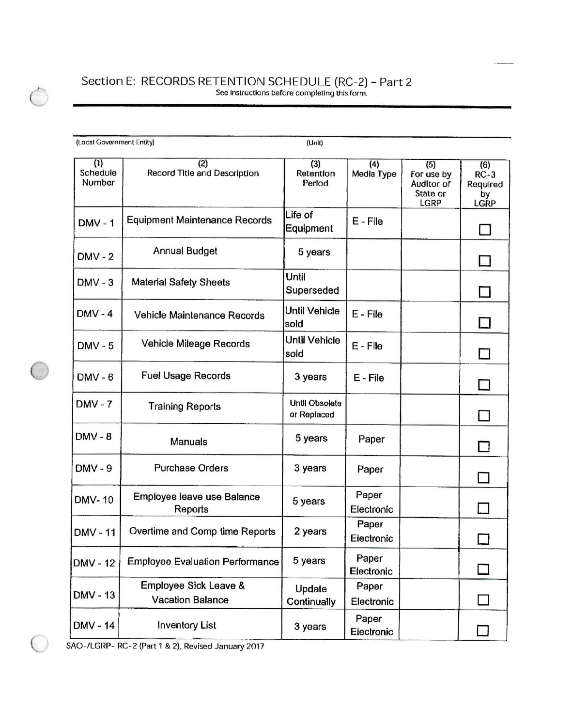## Section **E;** RECORDS RETENTION SCHEDULE {RC-2) - Part 2 See instructions before completing this form.

| (Local Government Entity) |                                           | (Unit)                               |                     |                                                     |                                         |
|---------------------------|-------------------------------------------|--------------------------------------|---------------------|-----------------------------------------------------|-----------------------------------------|
| (1)<br>Schedule<br>Number | (2)<br>Record Title and Description       | (3)<br>Retention<br>Period           | (4)<br>Media Type   | (5)<br>For use by<br>AudItor of<br>State or<br>LGRP | (6)<br>$RC-3$<br>Required<br>bу<br>LGRP |
| <b>DMV-1</b>              | Equipment Maintenance Records             | Life of<br>Equipment                 | E - File            |                                                     |                                         |
| $DMV - 2$                 | Annual Budget                             | 5 years                              |                     |                                                     |                                         |
| $DMV - 3$                 | <b>Material Safety Sheets</b>             | Until<br>Superseded                  |                     |                                                     |                                         |
| $DMV - 4$                 | Vehicle Maintenance Records               | Until Vehicle<br>sold                | E - File            |                                                     |                                         |
| $DMV - 5$                 | Vehicle Mileage Records                   | Until Vehicle<br>sold                | E - File            |                                                     |                                         |
| $DMV - 6$                 | <b>Fuel Usage Records</b>                 | 3 years                              | E - File            |                                                     |                                         |
| $DMV - 7$                 | <b>Training Reports</b>                   | <b>Until Obsolete</b><br>or Replaced |                     |                                                     |                                         |
| $DMV - 8$                 | Manuals                                   | 5 years                              | Paper               |                                                     |                                         |
| <b>DMV - 9</b>            | <b>Purchase Orders</b>                    | 3 years                              | Paper               |                                                     |                                         |
| <b>DMV-10</b>             | Employee leave use Balance<br>Reports     | 5 years                              | Paper<br>Electronic |                                                     |                                         |
| DMV-11                    | Overtime and Comp time Reports            | 2 years                              | Paper<br>Electronic |                                                     | $\mathcal{L}^{\mathcal{A}}$             |
| DMV - 12                  | <b>Employee Evaluation Performance</b>    | 5 years                              | Paper<br>Electronic |                                                     |                                         |
| DMV - 13                  | Employee Sick Leave &<br>Vacation Balance | Update<br>Continually                | Paper<br>Electronic |                                                     |                                         |
| DMV - 14                  | <b>Inventory List</b>                     | 3 years                              | Paper<br>Electronic |                                                     |                                         |

SAO-/LGRP- RC-2 (Part 1 & 2), Revised January 2017